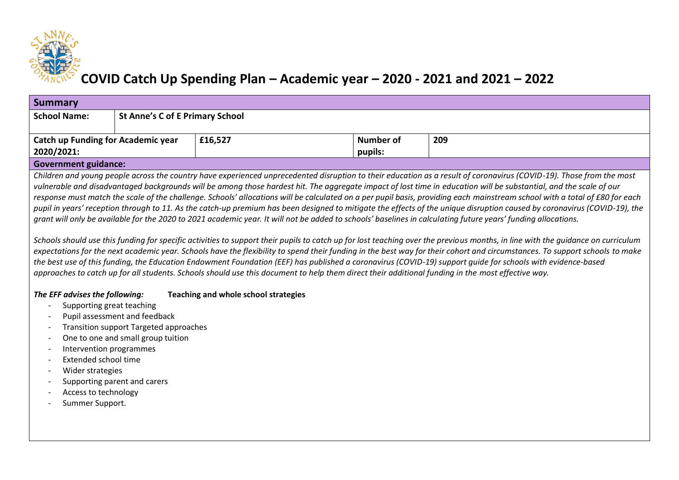

## **COVID Catch Up Spending Plan – Academic year – 2020 - 2021 and 2021 – 2022**

| <b>Summary</b>                                                                                                                                                              |                                        |         |           |     |  |  |  |  |
|-----------------------------------------------------------------------------------------------------------------------------------------------------------------------------|----------------------------------------|---------|-----------|-----|--|--|--|--|
| <b>School Name:</b>                                                                                                                                                         | <b>St Anne's C of E Primary School</b> |         |           |     |  |  |  |  |
| <b>Catch up Funding for Academic year</b>                                                                                                                                   |                                        | £16,527 | Number of | 209 |  |  |  |  |
| 2020/2021:                                                                                                                                                                  |                                        |         | pupils:   |     |  |  |  |  |
| <b>Government guidance:</b>                                                                                                                                                 |                                        |         |           |     |  |  |  |  |
| Children and young people across the country have experienced unprecedented disruption to their education as a result of coronavirus (COVID-19). Those from the most        |                                        |         |           |     |  |  |  |  |
| vulnerable and disadvantaged backgrounds will be among those hardest hit. The aggregate impact of lost time in education will be substantial, and the scale of our          |                                        |         |           |     |  |  |  |  |
| response must match the scale of the challenge. Schools' allocations will be calculated on a per pupil basis, providing each mainstream school with a total of £80 for each |                                        |         |           |     |  |  |  |  |
| pupil in years' reception through to 11. As the catch-up premium has been designed to mitigate the effects of the unique disruption caused by coronavirus (COVID-19), the   |                                        |         |           |     |  |  |  |  |
| grant will only be available for the 2020 to 2021 academic year. It will not be added to schools' baselines in calculating future years' funding allocations.               |                                        |         |           |     |  |  |  |  |

*Schools should use this funding for specific activities to support their pupils to catch up for lost teaching over the previous months, in line with the guidance on curriculum expectations for the next academic year. Schools have the flexibility to spend their funding in the best way for their cohort and circumstances. To support schools to make the best use of this funding, the Education Endowment Foundation (EEF) has published a coronavirus (COVID-19) support guide for schools with evidence-based approaches to catch up for all students. Schools should use this document to help them direct their additional funding in the most effective way.*

## *The EFF advises the following:* **Teaching and whole school strategies**

- Supporting great teaching
- Pupil assessment and feedback
- Transition support Targeted approaches
- One to one and small group tuition
- Intervention programmes
- Extended school time
- Wider strategies
- Supporting parent and carers
- Access to technology
- Summer Support.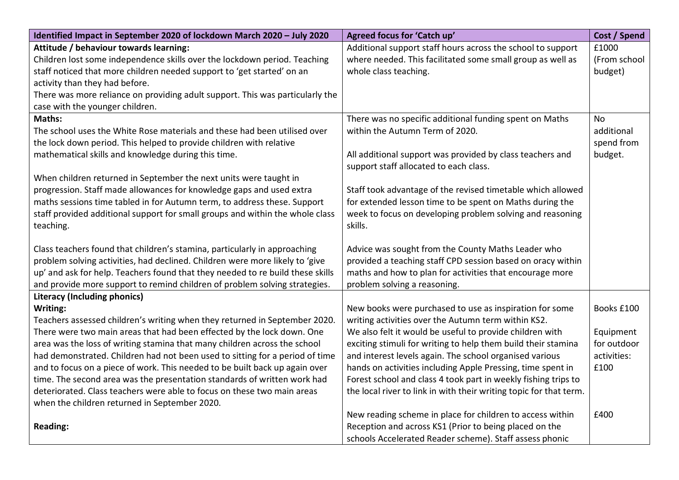| Identified Impact in September 2020 of lockdown March 2020 - July 2020         | Agreed focus for 'Catch up'                                        | Cost / Spend |
|--------------------------------------------------------------------------------|--------------------------------------------------------------------|--------------|
| Attitude / behaviour towards learning:                                         | Additional support staff hours across the school to support        | £1000        |
| Children lost some independence skills over the lockdown period. Teaching      | where needed. This facilitated some small group as well as         | (From school |
| staff noticed that more children needed support to 'get started' on an         | whole class teaching.                                              | budget)      |
| activity than they had before.                                                 |                                                                    |              |
| There was more reliance on providing adult support. This was particularly the  |                                                                    |              |
| case with the younger children.                                                |                                                                    |              |
| Maths:                                                                         | There was no specific additional funding spent on Maths            | <b>No</b>    |
| The school uses the White Rose materials and these had been utilised over      | within the Autumn Term of 2020.                                    | additional   |
| the lock down period. This helped to provide children with relative            |                                                                    | spend from   |
| mathematical skills and knowledge during this time.                            | All additional support was provided by class teachers and          | budget.      |
|                                                                                | support staff allocated to each class.                             |              |
| When children returned in September the next units were taught in              |                                                                    |              |
| progression. Staff made allowances for knowledge gaps and used extra           | Staff took advantage of the revised timetable which allowed        |              |
| maths sessions time tabled in for Autumn term, to address these. Support       | for extended lesson time to be spent on Maths during the           |              |
| staff provided additional support for small groups and within the whole class  | week to focus on developing problem solving and reasoning          |              |
| teaching.                                                                      | skills.                                                            |              |
|                                                                                |                                                                    |              |
| Class teachers found that children's stamina, particularly in approaching      | Advice was sought from the County Maths Leader who                 |              |
| problem solving activities, had declined. Children were more likely to 'give   | provided a teaching staff CPD session based on oracy within        |              |
| up' and ask for help. Teachers found that they needed to re build these skills | maths and how to plan for activities that encourage more           |              |
| and provide more support to remind children of problem solving strategies.     | problem solving a reasoning.                                       |              |
| <b>Literacy (Including phonics)</b>                                            |                                                                    |              |
| Writing:                                                                       | New books were purchased to use as inspiration for some            | Books £100   |
| Teachers assessed children's writing when they returned in September 2020.     | writing activities over the Autumn term within KS2.                |              |
| There were two main areas that had been effected by the lock down. One         | We also felt it would be useful to provide children with           | Equipment    |
| area was the loss of writing stamina that many children across the school      | exciting stimuli for writing to help them build their stamina      | for outdoor  |
| had demonstrated. Children had not been used to sitting for a period of time   | and interest levels again. The school organised various            | activities:  |
| and to focus on a piece of work. This needed to be built back up again over    | hands on activities including Apple Pressing, time spent in        | £100         |
| time. The second area was the presentation standards of written work had       | Forest school and class 4 took part in weekly fishing trips to     |              |
| deteriorated. Class teachers were able to focus on these two main areas        | the local river to link in with their writing topic for that term. |              |
| when the children returned in September 2020.                                  |                                                                    |              |
|                                                                                | New reading scheme in place for children to access within          | £400         |
| <b>Reading:</b>                                                                | Reception and across KS1 (Prior to being placed on the             |              |
|                                                                                | schools Accelerated Reader scheme). Staff assess phonic            |              |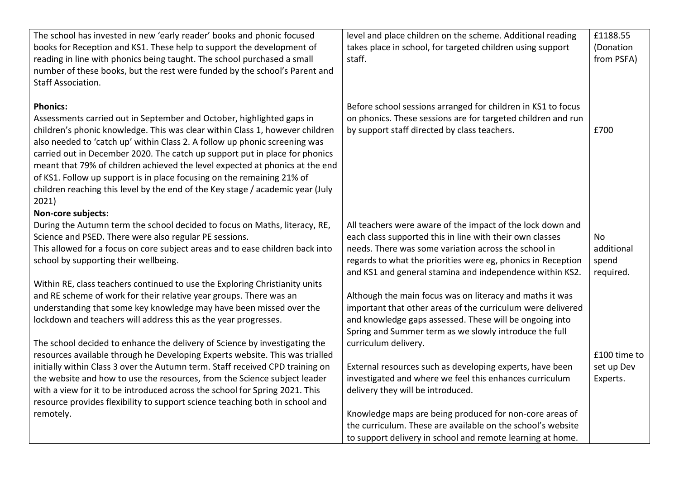| The school has invested in new 'early reader' books and phonic focused<br>books for Reception and KS1. These help to support the development of<br>reading in line with phonics being taught. The school purchased a small<br>number of these books, but the rest were funded by the school's Parent and<br><b>Staff Association.</b>                                                                                                                                                                                                                                                      | level and place children on the scheme. Additional reading<br>takes place in school, for targeted children using support<br>staff.                                           | £1188.55<br>(Donation<br>from PSFA) |
|--------------------------------------------------------------------------------------------------------------------------------------------------------------------------------------------------------------------------------------------------------------------------------------------------------------------------------------------------------------------------------------------------------------------------------------------------------------------------------------------------------------------------------------------------------------------------------------------|------------------------------------------------------------------------------------------------------------------------------------------------------------------------------|-------------------------------------|
| <b>Phonics:</b><br>Assessments carried out in September and October, highlighted gaps in<br>children's phonic knowledge. This was clear within Class 1, however children<br>also needed to 'catch up' within Class 2. A follow up phonic screening was<br>carried out in December 2020. The catch up support put in place for phonics<br>meant that 79% of children achieved the level expected at phonics at the end<br>of KS1. Follow up support is in place focusing on the remaining 21% of<br>children reaching this level by the end of the Key stage / academic year (July<br>2021) | Before school sessions arranged for children in KS1 to focus<br>on phonics. These sessions are for targeted children and run<br>by support staff directed by class teachers. | £700                                |
| Non-core subjects:                                                                                                                                                                                                                                                                                                                                                                                                                                                                                                                                                                         |                                                                                                                                                                              |                                     |
| During the Autumn term the school decided to focus on Maths, literacy, RE,                                                                                                                                                                                                                                                                                                                                                                                                                                                                                                                 | All teachers were aware of the impact of the lock down and                                                                                                                   |                                     |
| Science and PSED. There were also regular PE sessions.                                                                                                                                                                                                                                                                                                                                                                                                                                                                                                                                     | each class supported this in line with their own classes                                                                                                                     | <b>No</b>                           |
| This allowed for a focus on core subject areas and to ease children back into                                                                                                                                                                                                                                                                                                                                                                                                                                                                                                              | needs. There was some variation across the school in                                                                                                                         | additional                          |
| school by supporting their wellbeing.                                                                                                                                                                                                                                                                                                                                                                                                                                                                                                                                                      | regards to what the priorities were eg, phonics in Reception                                                                                                                 | spend                               |
|                                                                                                                                                                                                                                                                                                                                                                                                                                                                                                                                                                                            | and KS1 and general stamina and independence within KS2.                                                                                                                     | required.                           |
| Within RE, class teachers continued to use the Exploring Christianity units                                                                                                                                                                                                                                                                                                                                                                                                                                                                                                                |                                                                                                                                                                              |                                     |
| and RE scheme of work for their relative year groups. There was an                                                                                                                                                                                                                                                                                                                                                                                                                                                                                                                         | Although the main focus was on literacy and maths it was                                                                                                                     |                                     |
| understanding that some key knowledge may have been missed over the                                                                                                                                                                                                                                                                                                                                                                                                                                                                                                                        | important that other areas of the curriculum were delivered                                                                                                                  |                                     |
| lockdown and teachers will address this as the year progresses.                                                                                                                                                                                                                                                                                                                                                                                                                                                                                                                            | and knowledge gaps assessed. These will be ongoing into<br>Spring and Summer term as we slowly introduce the full                                                            |                                     |
| The school decided to enhance the delivery of Science by investigating the                                                                                                                                                                                                                                                                                                                                                                                                                                                                                                                 | curriculum delivery.                                                                                                                                                         |                                     |
| resources available through he Developing Experts website. This was trialled                                                                                                                                                                                                                                                                                                                                                                                                                                                                                                               |                                                                                                                                                                              | £100 time to                        |
| initially within Class 3 over the Autumn term. Staff received CPD training on                                                                                                                                                                                                                                                                                                                                                                                                                                                                                                              | External resources such as developing experts, have been                                                                                                                     | set up Dev                          |
| the website and how to use the resources, from the Science subject leader                                                                                                                                                                                                                                                                                                                                                                                                                                                                                                                  | investigated and where we feel this enhances curriculum                                                                                                                      | Experts.                            |
| with a view for it to be introduced across the school for Spring 2021. This                                                                                                                                                                                                                                                                                                                                                                                                                                                                                                                | delivery they will be introduced.                                                                                                                                            |                                     |
| resource provides flexibility to support science teaching both in school and                                                                                                                                                                                                                                                                                                                                                                                                                                                                                                               |                                                                                                                                                                              |                                     |
| remotely.                                                                                                                                                                                                                                                                                                                                                                                                                                                                                                                                                                                  | Knowledge maps are being produced for non-core areas of                                                                                                                      |                                     |
|                                                                                                                                                                                                                                                                                                                                                                                                                                                                                                                                                                                            | the curriculum. These are available on the school's website                                                                                                                  |                                     |
|                                                                                                                                                                                                                                                                                                                                                                                                                                                                                                                                                                                            | to support delivery in school and remote learning at home.                                                                                                                   |                                     |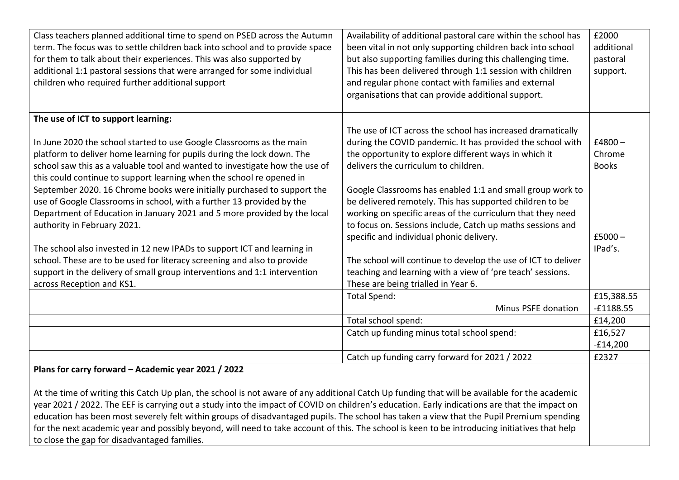| Class teachers planned additional time to spend on PSED across the Autumn<br>term. The focus was to settle children back into school and to provide space<br>for them to talk about their experiences. This was also supported by<br>additional 1:1 pastoral sessions that were arranged for some individual<br>children who required further additional support                                                                                                                                                                                                                                                                                                                                  | Availability of additional pastoral care within the school has<br>been vital in not only supporting children back into school<br>but also supporting families during this challenging time.<br>This has been delivered through 1:1 session with children<br>and regular phone contact with families and external<br>organisations that can provide additional support.                                                                                                                                                      | £2000<br>additional<br>pastoral<br>support.                |  |  |
|---------------------------------------------------------------------------------------------------------------------------------------------------------------------------------------------------------------------------------------------------------------------------------------------------------------------------------------------------------------------------------------------------------------------------------------------------------------------------------------------------------------------------------------------------------------------------------------------------------------------------------------------------------------------------------------------------|-----------------------------------------------------------------------------------------------------------------------------------------------------------------------------------------------------------------------------------------------------------------------------------------------------------------------------------------------------------------------------------------------------------------------------------------------------------------------------------------------------------------------------|------------------------------------------------------------|--|--|
| The use of ICT to support learning:                                                                                                                                                                                                                                                                                                                                                                                                                                                                                                                                                                                                                                                               |                                                                                                                                                                                                                                                                                                                                                                                                                                                                                                                             |                                                            |  |  |
| In June 2020 the school started to use Google Classrooms as the main<br>platform to deliver home learning for pupils during the lock down. The<br>school saw this as a valuable tool and wanted to investigate how the use of<br>this could continue to support learning when the school re opened in<br>September 2020. 16 Chrome books were initially purchased to support the<br>use of Google Classrooms in school, with a further 13 provided by the<br>Department of Education in January 2021 and 5 more provided by the local<br>authority in February 2021.<br>The school also invested in 12 new IPADs to support ICT and learning in                                                   | The use of ICT across the school has increased dramatically<br>during the COVID pandemic. It has provided the school with<br>the opportunity to explore different ways in which it<br>delivers the curriculum to children.<br>Google Classrooms has enabled 1:1 and small group work to<br>be delivered remotely. This has supported children to be<br>working on specific areas of the curriculum that they need<br>to focus on. Sessions include, Catch up maths sessions and<br>specific and individual phonic delivery. | $£4800-$<br>Chrome<br><b>Books</b><br>$£5000 -$<br>IPad's. |  |  |
| school. These are to be used for literacy screening and also to provide<br>support in the delivery of small group interventions and 1:1 intervention                                                                                                                                                                                                                                                                                                                                                                                                                                                                                                                                              | The school will continue to develop the use of ICT to deliver<br>teaching and learning with a view of 'pre teach' sessions.                                                                                                                                                                                                                                                                                                                                                                                                 |                                                            |  |  |
| across Reception and KS1.                                                                                                                                                                                                                                                                                                                                                                                                                                                                                                                                                                                                                                                                         | These are being trialled in Year 6.                                                                                                                                                                                                                                                                                                                                                                                                                                                                                         |                                                            |  |  |
|                                                                                                                                                                                                                                                                                                                                                                                                                                                                                                                                                                                                                                                                                                   | <b>Total Spend:</b>                                                                                                                                                                                                                                                                                                                                                                                                                                                                                                         | £15,388.55                                                 |  |  |
|                                                                                                                                                                                                                                                                                                                                                                                                                                                                                                                                                                                                                                                                                                   | Minus PSFE donation                                                                                                                                                                                                                                                                                                                                                                                                                                                                                                         | $-£1188.55$                                                |  |  |
|                                                                                                                                                                                                                                                                                                                                                                                                                                                                                                                                                                                                                                                                                                   | Total school spend:                                                                                                                                                                                                                                                                                                                                                                                                                                                                                                         | £14,200                                                    |  |  |
|                                                                                                                                                                                                                                                                                                                                                                                                                                                                                                                                                                                                                                                                                                   | Catch up funding minus total school spend:                                                                                                                                                                                                                                                                                                                                                                                                                                                                                  | £16,527<br>$-£14,200$                                      |  |  |
|                                                                                                                                                                                                                                                                                                                                                                                                                                                                                                                                                                                                                                                                                                   | Catch up funding carry forward for 2021 / 2022                                                                                                                                                                                                                                                                                                                                                                                                                                                                              | £2327                                                      |  |  |
| Plans for carry forward - Academic year 2021 / 2022<br>At the time of writing this Catch Up plan, the school is not aware of any additional Catch Up funding that will be available for the academic<br>year 2021 / 2022. The EEF is carrying out a study into the impact of COVID on children's education. Early indications are that the impact on<br>education has been most severely felt within groups of disadvantaged pupils. The school has taken a view that the Pupil Premium spending<br>for the next academic year and possibly beyond, will need to take account of this. The school is keen to be introducing initiatives that help<br>to close the gap for disadvantaged families. |                                                                                                                                                                                                                                                                                                                                                                                                                                                                                                                             |                                                            |  |  |